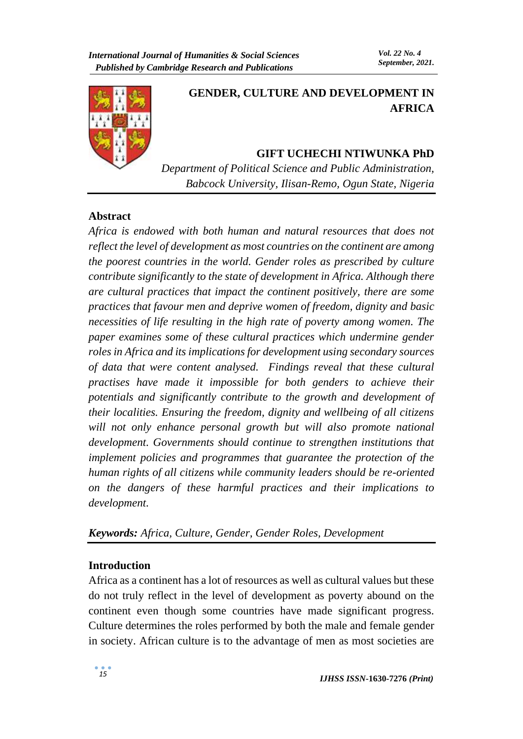

# **GENDER, CULTURE AND DEVELOPMENT IN AFRICA**

## **GIFT UCHECHI NTIWUNKA PhD**

*Department of Political Science and Public Administration, Babcock University, Ilisan-Remo, Ogun State, Nigeria*

### **Abstract**

*Africa is endowed with both human and natural resources that does not reflect the level of development as most countries on the continent are among the poorest countries in the world. Gender roles as prescribed by culture contribute significantly to the state of development in Africa. Although there are cultural practices that impact the continent positively, there are some practices that favour men and deprive women of freedom, dignity and basic necessities of life resulting in the high rate of poverty among women. The paper examines some of these cultural practices which undermine gender roles in Africa and its implications for development using secondary sources of data that were content analysed. Findings reveal that these cultural practises have made it impossible for both genders to achieve their potentials and significantly contribute to the growth and development of their localities. Ensuring the freedom, dignity and wellbeing of all citizens*  will not only enhance personal growth but will also promote national *development. Governments should continue to strengthen institutions that implement policies and programmes that guarantee the protection of the human rights of all citizens while community leaders should be re-oriented on the dangers of these harmful practices and their implications to development.* 

#### *Keywords: Africa, Culture, Gender, Gender Roles, Development*

#### **Introduction**

Africa as a continent has a lot of resources as well as cultural values but these do not truly reflect in the level of development as poverty abound on the continent even though some countries have made significant progress. Culture determines the roles performed by both the male and female gender in society. African culture is to the advantage of men as most societies are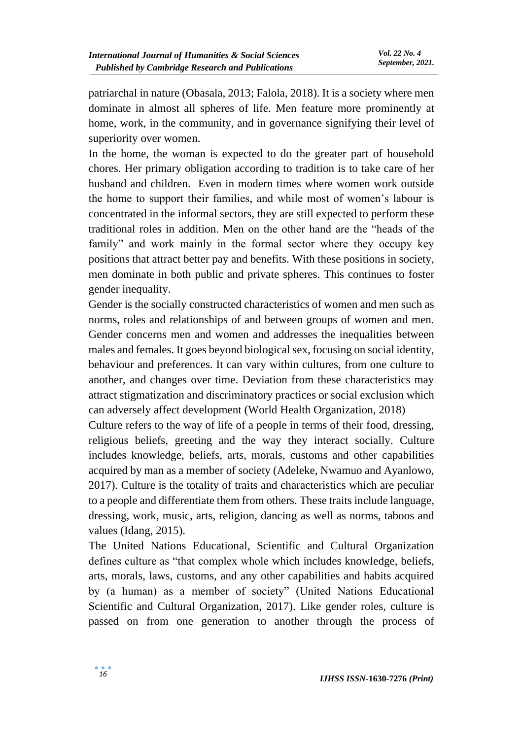patriarchal in nature (Obasala, 2013; Falola, 2018). It is a society where men dominate in almost all spheres of life. Men feature more prominently at home, work, in the community, and in governance signifying their level of superiority over women.

In the home, the woman is expected to do the greater part of household chores. Her primary obligation according to tradition is to take care of her husband and children. Even in modern times where women work outside the home to support their families, and while most of women's labour is concentrated in the informal sectors, they are still expected to perform these traditional roles in addition. Men on the other hand are the "heads of the family" and work mainly in the formal sector where they occupy key positions that attract better pay and benefits. With these positions in society, men dominate in both public and private spheres. This continues to foster gender inequality.

Gender is the socially constructed characteristics of women and men such as norms, roles and relationships of and between groups of women and men. Gender concerns men and women and addresses the inequalities between males and females. It goes beyond biological sex, focusing on social identity, behaviour and preferences. It can vary within cultures, from one culture to another, and changes over time. Deviation from these characteristics may attract stigmatization and discriminatory practices or social exclusion which can adversely affect development (World Health Organization, 2018)

Culture refers to the way of life of a people in terms of their food, dressing, religious beliefs, greeting and the way they interact socially. Culture includes knowledge, beliefs, arts, morals, customs and other capabilities acquired by man as a member of society (Adeleke, Nwamuo and Ayanlowo, 2017). Culture is the totality of traits and characteristics which are peculiar to a people and differentiate them from others. These traits include language, dressing, work, music, arts, religion, dancing as well as norms, taboos and values (Idang, 2015).

The United Nations Educational, Scientific and Cultural Organization defines culture as "that complex whole which includes knowledge, beliefs, arts, morals, laws, customs, and any other capabilities and habits acquired by (a human) as a member of society" (United Nations Educational Scientific and Cultural Organization, 2017). Like gender roles, culture is passed on from one generation to another through the process of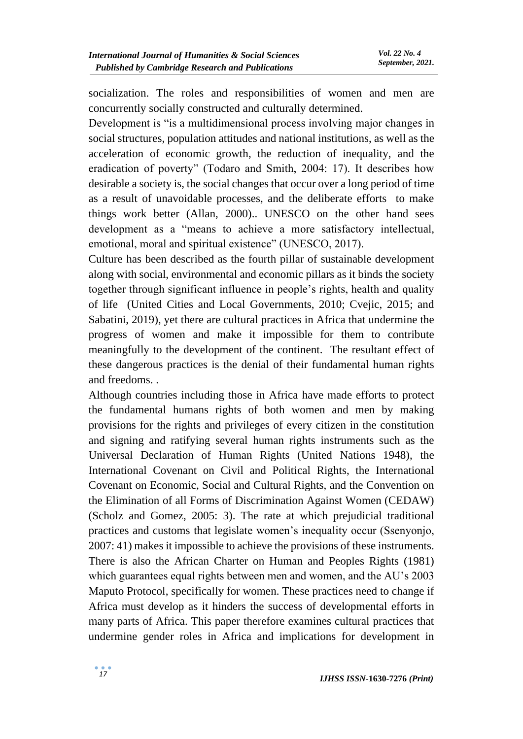socialization. The roles and responsibilities of women and men are concurrently socially constructed and culturally determined.

Development is "is a multidimensional process involving major changes in social structures, population attitudes and national institutions, as well as the acceleration of economic growth, the reduction of inequality, and the eradication of poverty" (Todaro and Smith, 2004: 17). It describes how desirable a society is, the social changes that occur over a long period of time as a result of unavoidable processes, and the deliberate efforts to make things work better (Allan, 2000).. UNESCO on the other hand sees development as a "means to achieve a more satisfactory intellectual, emotional, moral and spiritual existence" (UNESCO, 2017).

Culture has been described as the fourth pillar of sustainable development along with social, environmental and economic pillars as it binds the society together through significant influence in people's rights, health and quality of life (United Cities and Local Governments, 2010; Cvejic, 2015; and Sabatini, 2019), yet there are cultural practices in Africa that undermine the progress of women and make it impossible for them to contribute meaningfully to the development of the continent. The resultant effect of these dangerous practices is the denial of their fundamental human rights and freedoms. .

Although countries including those in Africa have made efforts to protect the fundamental humans rights of both women and men by making provisions for the rights and privileges of every citizen in the constitution and signing and ratifying several human rights instruments such as the Universal Declaration of Human Rights (United Nations 1948), the International Covenant on Civil and Political Rights, the International Covenant on Economic, Social and Cultural Rights, and the Convention on the Elimination of all Forms of Discrimination Against Women (CEDAW) (Scholz and Gomez, 2005: 3). The rate at which prejudicial traditional practices and customs that legislate women's inequality occur (Ssenyonjo, 2007: 41) makes it impossible to achieve the provisions of these instruments. There is also the African Charter on Human and Peoples Rights (1981) which guarantees equal rights between men and women, and the AU's 2003 Maputo Protocol, specifically for women. These practices need to change if Africa must develop as it hinders the success of developmental efforts in many parts of Africa. This paper therefore examines cultural practices that undermine gender roles in Africa and implications for development in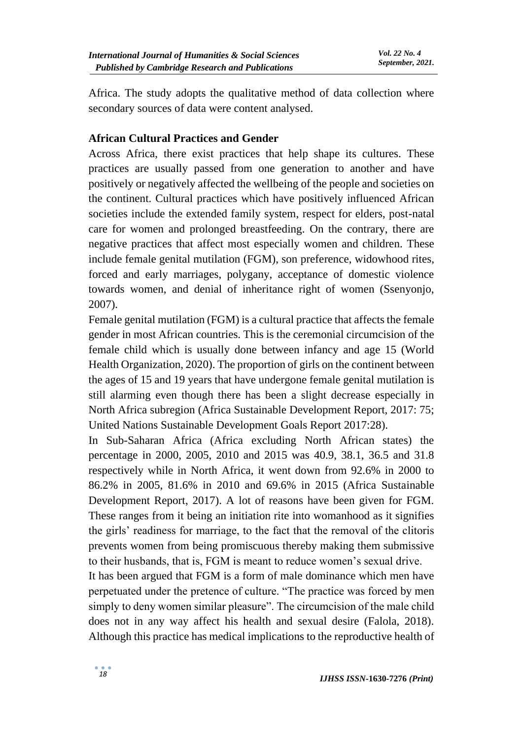Africa. The study adopts the qualitative method of data collection where secondary sources of data were content analysed.

## **African Cultural Practices and Gender**

Across Africa, there exist practices that help shape its cultures. These practices are usually passed from one generation to another and have positively or negatively affected the wellbeing of the people and societies on the continent. Cultural practices which have positively influenced African societies include the extended family system, respect for elders, post-natal care for women and prolonged breastfeeding. On the contrary, there are negative practices that affect most especially women and children. These include female genital mutilation (FGM), son preference, widowhood rites, forced and early marriages, polygany, acceptance of domestic violence towards women, and denial of inheritance right of women (Ssenyonjo, 2007).

Female genital mutilation (FGM) is a cultural practice that affects the female gender in most African countries. This is the ceremonial circumcision of the female child which is usually done between infancy and age 15 (World Health Organization, 2020). The proportion of girls on the continent between the ages of 15 and 19 years that have undergone female genital mutilation is still alarming even though there has been a slight decrease especially in North Africa subregion (Africa Sustainable Development Report, 2017: 75; United Nations Sustainable Development Goals Report 2017:28).

In Sub-Saharan Africa (Africa excluding North African states) the percentage in 2000, 2005, 2010 and 2015 was 40.9, 38.1, 36.5 and 31.8 respectively while in North Africa, it went down from 92.6% in 2000 to 86.2% in 2005, 81.6% in 2010 and 69.6% in 2015 (Africa Sustainable Development Report, 2017). A lot of reasons have been given for FGM. These ranges from it being an initiation rite into womanhood as it signifies the girls' readiness for marriage, to the fact that the removal of the clitoris prevents women from being promiscuous thereby making them submissive to their husbands, that is, FGM is meant to reduce women's sexual drive.

It has been argued that FGM is a form of male dominance which men have perpetuated under the pretence of culture. "The practice was forced by men simply to deny women similar pleasure". The circumcision of the male child does not in any way affect his health and sexual desire (Falola, 2018). Although this practice has medical implications to the reproductive health of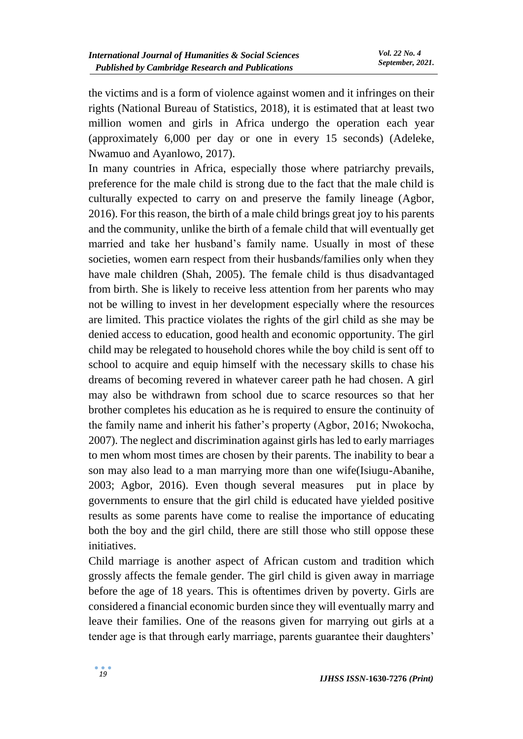the victims and is a form of violence against women and it infringes on their rights (National Bureau of Statistics, 2018), it is estimated that at least two million women and girls in Africa undergo the operation each year (approximately 6,000 per day or one in every 15 seconds) (Adeleke, Nwamuo and Ayanlowo, 2017).

In many countries in Africa, especially those where patriarchy prevails, preference for the male child is strong due to the fact that the male child is culturally expected to carry on and preserve the family lineage (Agbor, 2016). For this reason, the birth of a male child brings great joy to his parents and the community, unlike the birth of a female child that will eventually get married and take her husband's family name. Usually in most of these societies, women earn respect from their husbands/families only when they have male children (Shah, 2005). The female child is thus disadvantaged from birth. She is likely to receive less attention from her parents who may not be willing to invest in her development especially where the resources are limited. This practice violates the rights of the girl child as she may be denied access to education, good health and economic opportunity. The girl child may be relegated to household chores while the boy child is sent off to school to acquire and equip himself with the necessary skills to chase his dreams of becoming revered in whatever career path he had chosen. A girl may also be withdrawn from school due to scarce resources so that her brother completes his education as he is required to ensure the continuity of the family name and inherit his father's property (Agbor, 2016; Nwokocha, 2007). The neglect and discrimination against girls has led to early marriages to men whom most times are chosen by their parents. The inability to bear a son may also lead to a man marrying more than one wife(Isiugu-Abanihe, 2003; Agbor, 2016). Even though several measures put in place by governments to ensure that the girl child is educated have yielded positive results as some parents have come to realise the importance of educating both the boy and the girl child, there are still those who still oppose these initiatives.

Child marriage is another aspect of African custom and tradition which grossly affects the female gender. The girl child is given away in marriage before the age of 18 years. This is oftentimes driven by poverty. Girls are considered a financial economic burden since they will eventually marry and leave their families. One of the reasons given for marrying out girls at a tender age is that through early marriage, parents guarantee their daughters'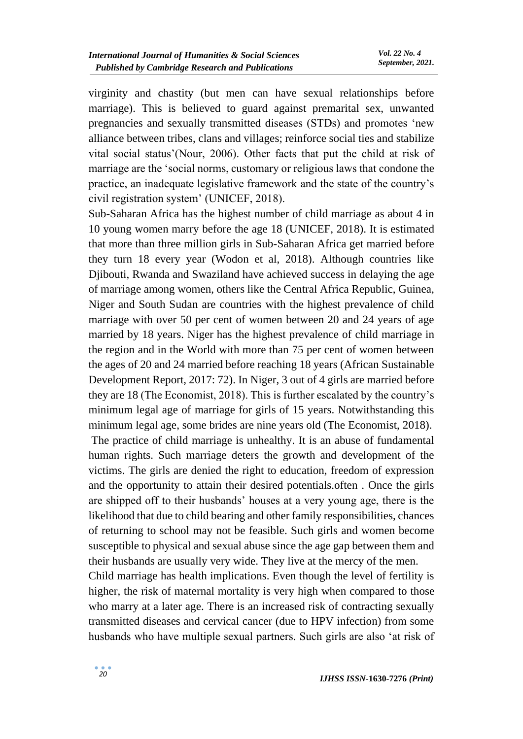virginity and chastity (but men can have sexual relationships before marriage). This is believed to guard against premarital sex, unwanted pregnancies and sexually transmitted diseases (STDs) and promotes 'new alliance between tribes, clans and villages; reinforce social ties and stabilize vital social status'(Nour, 2006). Other facts that put the child at risk of marriage are the 'social norms, customary or religious laws that condone the practice, an inadequate legislative framework and the state of the country's civil registration system' (UNICEF, 2018).

Sub-Saharan Africa has the highest number of child marriage as about 4 in 10 young women marry before the age 18 (UNICEF, 2018). It is estimated that more than three million girls in Sub-Saharan Africa get married before they turn 18 every year (Wodon et al, 2018). Although countries like Djibouti, Rwanda and Swaziland have achieved success in delaying the age of marriage among women, others like the Central Africa Republic, Guinea, Niger and South Sudan are countries with the highest prevalence of child marriage with over 50 per cent of women between 20 and 24 years of age married by 18 years. Niger has the highest prevalence of child marriage in the region and in the World with more than 75 per cent of women between the ages of 20 and 24 married before reaching 18 years (African Sustainable Development Report, 2017: 72). In Niger, 3 out of 4 girls are married before they are 18 (The Economist, 2018). This is further escalated by the country's minimum legal age of marriage for girls of 15 years. Notwithstanding this minimum legal age, some brides are nine years old (The Economist, 2018). The practice of child marriage is unhealthy. It is an abuse of fundamental

human rights. Such marriage deters the growth and development of the victims. The girls are denied the right to education, freedom of expression and the opportunity to attain their desired potentials.often . Once the girls are shipped off to their husbands' houses at a very young age, there is the likelihood that due to child bearing and other family responsibilities, chances of returning to school may not be feasible. Such girls and women become susceptible to physical and sexual abuse since the age gap between them and their husbands are usually very wide. They live at the mercy of the men.

Child marriage has health implications. Even though the level of fertility is higher, the risk of maternal mortality is very high when compared to those who marry at a later age. There is an increased risk of contracting sexually transmitted diseases and cervical cancer (due to HPV infection) from some husbands who have multiple sexual partners. Such girls are also 'at risk of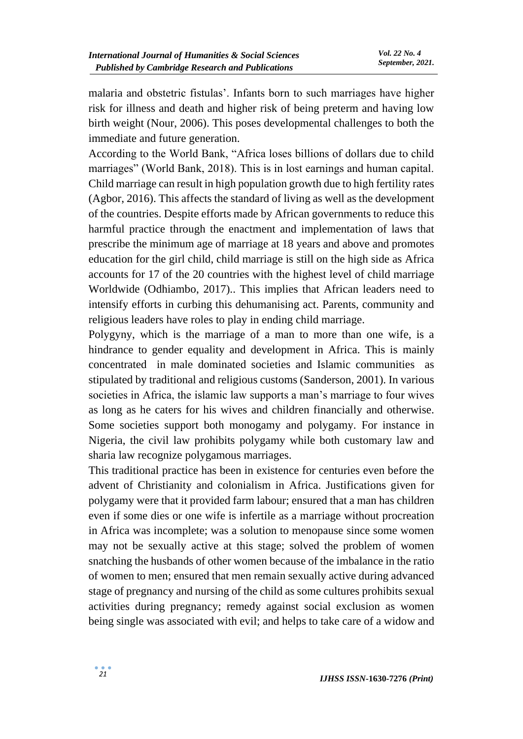malaria and obstetric fistulas'. Infants born to such marriages have higher risk for illness and death and higher risk of being preterm and having low birth weight (Nour, 2006). This poses developmental challenges to both the immediate and future generation.

According to the World Bank, "Africa loses billions of dollars due to child marriages" (World Bank, 2018). This is in lost earnings and human capital. Child marriage can result in high population growth due to high fertility rates (Agbor, 2016). This affects the standard of living as well as the development of the countries. Despite efforts made by African governments to reduce this harmful practice through the enactment and implementation of laws that prescribe the minimum age of marriage at 18 years and above and promotes education for the girl child, child marriage is still on the high side as Africa accounts for 17 of the 20 countries with the highest level of child marriage Worldwide (Odhiambo, 2017).. This implies that African leaders need to intensify efforts in curbing this dehumanising act. Parents, community and religious leaders have roles to play in ending child marriage.

Polygyny, which is the marriage of a man to more than one wife, is a hindrance to gender equality and development in Africa. This is mainly concentrated in male dominated societies and Islamic communities as stipulated by traditional and religious customs (Sanderson, 2001). In various societies in Africa, the islamic law supports a man's marriage to four wives as long as he caters for his wives and children financially and otherwise. Some societies support both monogamy and polygamy. For instance in Nigeria, the civil law prohibits polygamy while both customary law and sharia law recognize polygamous marriages.

This traditional practice has been in existence for centuries even before the advent of Christianity and colonialism in Africa. Justifications given for polygamy were that it provided farm labour; ensured that a man has children even if some dies or one wife is infertile as a marriage without procreation in Africa was incomplete; was a solution to menopause since some women may not be sexually active at this stage; solved the problem of women snatching the husbands of other women because of the imbalance in the ratio of women to men; ensured that men remain sexually active during advanced stage of pregnancy and nursing of the child as some cultures prohibits sexual activities during pregnancy; remedy against social exclusion as women being single was associated with evil; and helps to take care of a widow and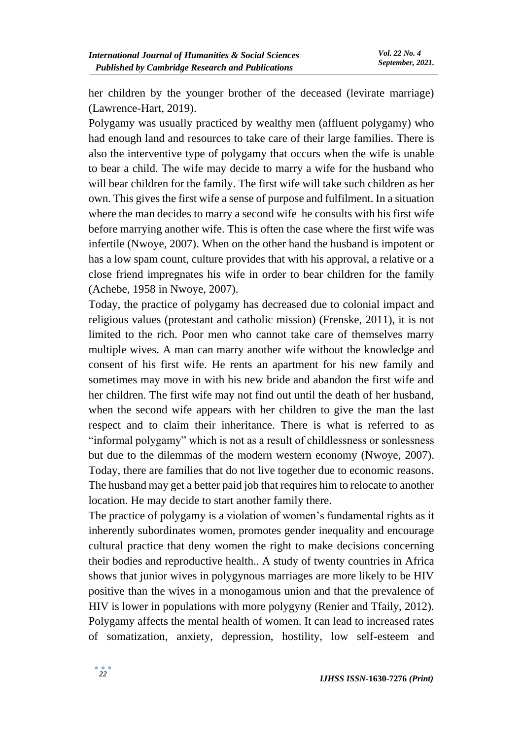her children by the younger brother of the deceased (levirate marriage) (Lawrence-Hart, 2019).

Polygamy was usually practiced by wealthy men (affluent polygamy) who had enough land and resources to take care of their large families. There is also the interventive type of polygamy that occurs when the wife is unable to bear a child. The wife may decide to marry a wife for the husband who will bear children for the family. The first wife will take such children as her own. This gives the first wife a sense of purpose and fulfilment. In a situation where the man decides to marry a second wife he consults with his first wife before marrying another wife. This is often the case where the first wife was infertile (Nwoye, 2007). When on the other hand the husband is impotent or has a low spam count, culture provides that with his approval, a relative or a close friend impregnates his wife in order to bear children for the family (Achebe, 1958 in Nwoye, 2007).

Today, the practice of polygamy has decreased due to colonial impact and religious values (protestant and catholic mission) (Frenske, 2011), it is not limited to the rich. Poor men who cannot take care of themselves marry multiple wives. A man can marry another wife without the knowledge and consent of his first wife. He rents an apartment for his new family and sometimes may move in with his new bride and abandon the first wife and her children. The first wife may not find out until the death of her husband, when the second wife appears with her children to give the man the last respect and to claim their inheritance. There is what is referred to as "informal polygamy" which is not as a result of childlessness or sonlessness but due to the dilemmas of the modern western economy (Nwoye, 2007). Today, there are families that do not live together due to economic reasons. The husband may get a better paid job that requires him to relocate to another location. He may decide to start another family there.

The practice of polygamy is a violation of women's fundamental rights as it inherently subordinates women, promotes gender inequality and encourage cultural practice that deny women the right to make decisions concerning their bodies and reproductive health.. A study of twenty countries in Africa shows that junior wives in polygynous marriages are more likely to be HIV positive than the wives in a monogamous union and that the prevalence of HIV is lower in populations with more polygyny (Renier and Tfaily, 2012). Polygamy affects the mental health of women. It can lead to increased rates of somatization, anxiety, depression, hostility, low self-esteem and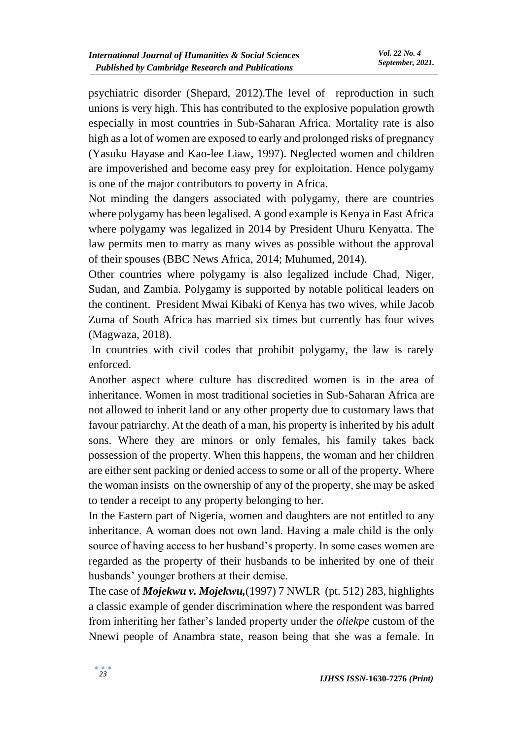psychiatric disorder (Shepard, 2012).The level of reproduction in such unions is very high. This has contributed to the explosive population growth especially in most countries in Sub-Saharan Africa. Mortality rate is also high as a lot of women are exposed to early and prolonged risks of pregnancy (Yasuku Hayase and Kao-lee Liaw, 1997). Neglected women and children are impoverished and become easy prey for exploitation. Hence polygamy is one of the major contributors to poverty in Africa.

Not minding the dangers associated with polygamy, there are countries where polygamy has been legalised. A good example is Kenya in East Africa where polygamy was legalized in 2014 by President Uhuru Kenyatta. The law permits men to marry as many wives as possible without the approval of their spouses (BBC News Africa, 2014; Muhumed, 2014).

Other countries where polygamy is also legalized include Chad, Niger, Sudan, and Zambia. Polygamy is supported by notable political leaders on the continent. President Mwai Kibaki of Kenya has two wives, while Jacob Zuma of South Africa has married six times but currently has four wives (Magwaza, 2018).

In countries with civil codes that prohibit polygamy, the law is rarely enforced.

Another aspect where culture has discredited women is in the area of inheritance. Women in most traditional societies in Sub-Saharan Africa are not allowed to inherit land or any other property due to customary laws that favour patriarchy. At the death of a man, his property is inherited by his adult sons. Where they are minors or only females, his family takes back possession of the property. When this happens, the woman and her children are either sent packing or denied access to some or all of the property. Where the woman insists on the ownership of any of the property, she may be asked to tender a receipt to any property belonging to her.

In the Eastern part of Nigeria, women and daughters are not entitled to any inheritance. A woman does not own land. Having a male child is the only source of having access to her husband's property. In some cases women are regarded as the property of their husbands to be inherited by one of their husbands' younger brothers at their demise.

The case of *Mojekwu v. Mojekwu,*(1997) 7 NWLR (pt. 512) 283, highlights a classic example of gender discrimination where the respondent was barred from inheriting her father's landed property under the *oliekpe* custom of the Nnewi people of Anambra state, reason being that she was a female. In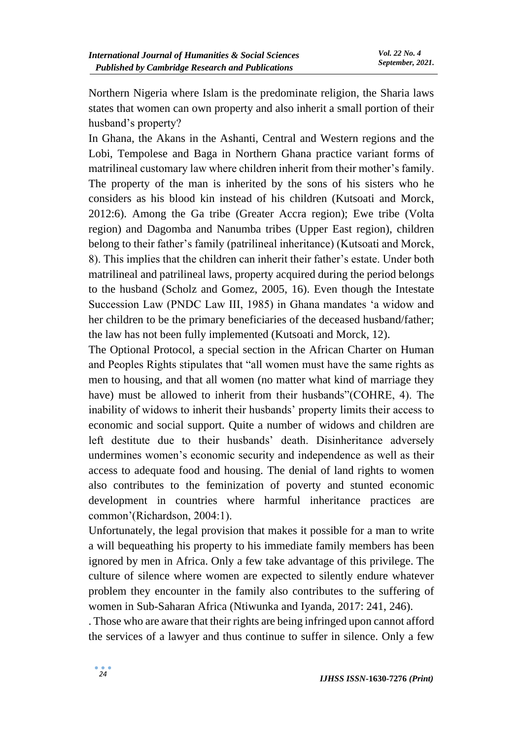Northern Nigeria where Islam is the predominate religion, the Sharia laws states that women can own property and also inherit a small portion of their husband's property?

In Ghana, the Akans in the Ashanti, Central and Western regions and the Lobi, Tempolese and Baga in Northern Ghana practice variant forms of matrilineal customary law where children inherit from their mother's family. The property of the man is inherited by the sons of his sisters who he considers as his blood kin instead of his children (Kutsoati and Morck, 2012:6). Among the Ga tribe (Greater Accra region); Ewe tribe (Volta region) and Dagomba and Nanumba tribes (Upper East region), children belong to their father's family (patrilineal inheritance) (Kutsoati and Morck, 8). This implies that the children can inherit their father's estate. Under both matrilineal and patrilineal laws, property acquired during the period belongs to the husband (Scholz and Gomez, 2005, 16). Even though the Intestate Succession Law (PNDC Law III, 1985) in Ghana mandates 'a widow and her children to be the primary beneficiaries of the deceased husband/father; the law has not been fully implemented (Kutsoati and Morck, 12).

The Optional Protocol, a special section in the African Charter on Human and Peoples Rights stipulates that "all women must have the same rights as men to housing, and that all women (no matter what kind of marriage they have) must be allowed to inherit from their husbands"(COHRE, 4). The inability of widows to inherit their husbands' property limits their access to economic and social support. Quite a number of widows and children are left destitute due to their husbands' death. Disinheritance adversely undermines women's economic security and independence as well as their access to adequate food and housing. The denial of land rights to women also contributes to the feminization of poverty and stunted economic development in countries where harmful inheritance practices are common'(Richardson, 2004:1).

Unfortunately, the legal provision that makes it possible for a man to write a will bequeathing his property to his immediate family members has been ignored by men in Africa. Only a few take advantage of this privilege. The culture of silence where women are expected to silently endure whatever problem they encounter in the family also contributes to the suffering of women in Sub-Saharan Africa (Ntiwunka and Iyanda, 2017: 241, 246).

. Those who are aware that their rights are being infringed upon cannot afford the services of a lawyer and thus continue to suffer in silence. Only a few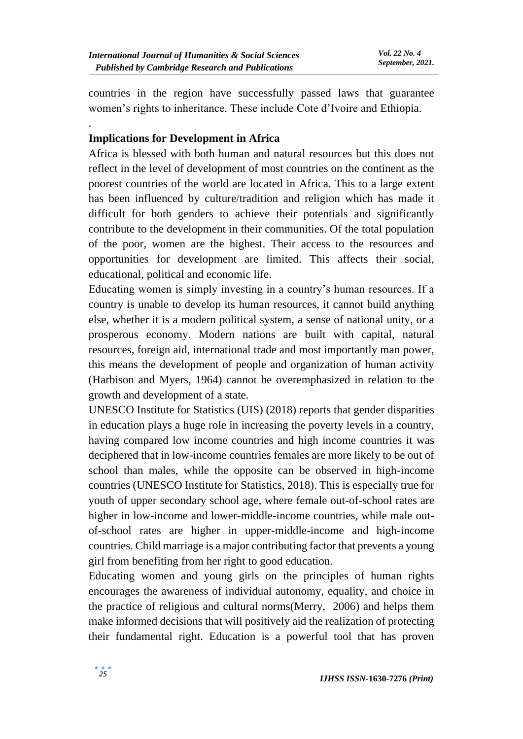countries in the region have successfully passed laws that guarantee women's rights to inheritance. These include Cote d'Ivoire and Ethiopia.

### **Implications for Development in Africa**

.

Africa is blessed with both human and natural resources but this does not reflect in the level of development of most countries on the continent as the poorest countries of the world are located in Africa. This to a large extent has been influenced by culture/tradition and religion which has made it difficult for both genders to achieve their potentials and significantly contribute to the development in their communities. Of the total population of the poor, women are the highest. Their access to the resources and opportunities for development are limited. This affects their social, educational, political and economic life.

Educating women is simply investing in a country's human resources. If a country is unable to develop its human resources, it cannot build anything else, whether it is a modern political system, a sense of national unity, or a prosperous economy. Modern nations are built with capital, natural resources, foreign aid, international trade and most importantly man power, this means the development of people and organization of human activity (Harbison and Myers, 1964) cannot be overemphasized in relation to the growth and development of a state.

UNESCO Institute for Statistics (UIS) (2018) reports that gender disparities in education plays a huge role in increasing the poverty levels in a country, having compared low income countries and high income countries it was deciphered that in low-income countries females are more likely to be out of school than males, while the opposite can be observed in high-income countries (UNESCO Institute for Statistics, 2018). This is especially true for youth of upper secondary school age, where female out-of-school rates are higher in low-income and lower-middle-income countries, while male outof-school rates are higher in upper-middle-income and high-income countries. Child marriage is a major contributing factor that prevents a young girl from benefiting from her right to good education.

Educating women and young girls on the principles of human rights encourages the awareness of individual autonomy, equality, and choice in the practice of religious and cultural norms(Merry, 2006) and helps them make informed decisions that will positively aid the realization of protecting their fundamental right. Education is a powerful tool that has proven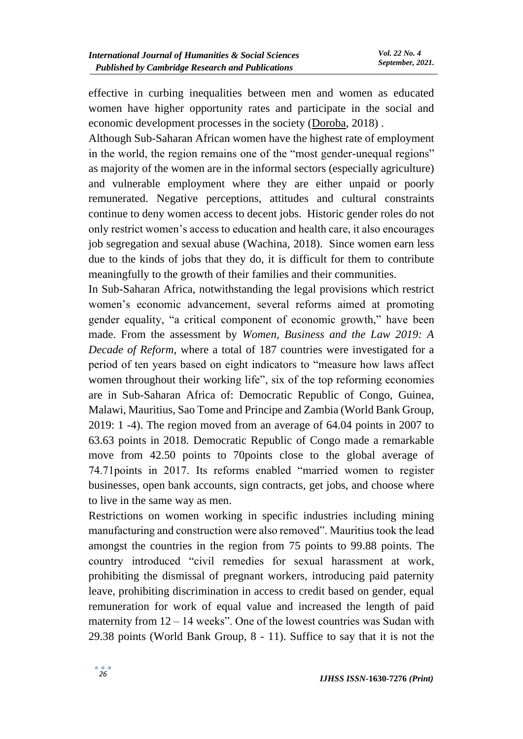effective in curbing inequalities between men and women as educated women have higher opportunity rates and participate in the social and economic development processes in the society [\(Doroba,](https://www.globalpartnership.org/users/hchalwe) 2018) .

Although Sub-Saharan African women have the highest rate of employment in the world, the region remains one of the "most gender-unequal regions" as majority of the women are in the informal sectors (especially agriculture) and vulnerable employment where they are either unpaid or poorly remunerated. Negative perceptions, attitudes and cultural constraints continue to deny women access to decent jobs. Historic gender roles do not only restrict women's access to education and health care, it also encourages job segregation and sexual abuse (Wachina, 2018). Since women earn less due to the kinds of jobs that they do, it is difficult for them to contribute meaningfully to the growth of their families and their communities.

In Sub-Saharan Africa, notwithstanding the legal provisions which restrict women's economic advancement, several reforms aimed at promoting gender equality, "a critical component of economic growth," have been made. From the assessment by *Women, Business and the Law 2019: A Decade of Reform*, where a total of 187 countries were investigated for a period of ten years based on eight indicators to "measure how laws affect women throughout their working life", six of the top reforming economies are in Sub-Saharan Africa of: Democratic Republic of Congo, Guinea, Malawi, Mauritius, Sao Tome and Principe and Zambia (World Bank Group, 2019: 1 -4). The region moved from an average of 64.04 points in 2007 to 63.63 points in 2018. Democratic Republic of Congo made a remarkable move from 42.50 points to 70points close to the global average of 74.71points in 2017. Its reforms enabled "married women to register businesses, open bank accounts, sign contracts, get jobs, and choose where to live in the same way as men.

Restrictions on women working in specific industries including mining manufacturing and construction were also removed". Mauritius took the lead amongst the countries in the region from 75 points to 99.88 points. The country introduced "civil remedies for sexual harassment at work, prohibiting the dismissal of pregnant workers, introducing paid paternity leave, prohibiting discrimination in access to credit based on gender, equal remuneration for work of equal value and increased the length of paid maternity from 12 – 14 weeks". One of the lowest countries was Sudan with 29.38 points (World Bank Group, 8 - 11). Suffice to say that it is not the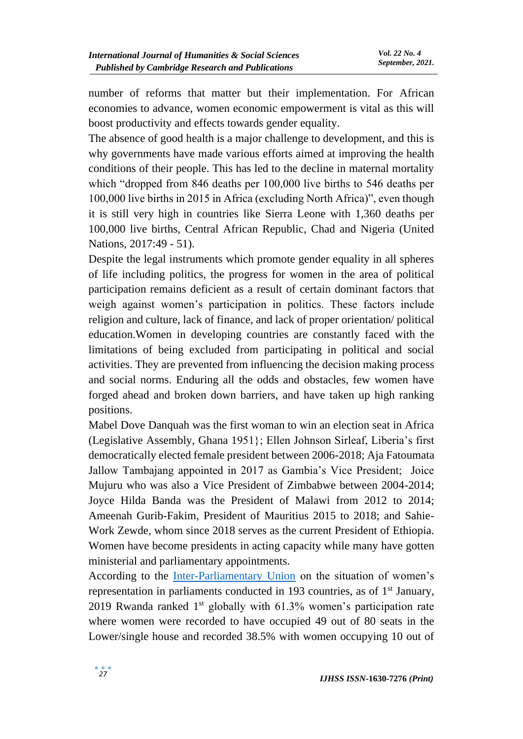number of reforms that matter but their implementation. For African economies to advance, women economic empowerment is vital as this will boost productivity and effects towards gender equality.

The absence of good health is a major challenge to development, and this is why governments have made various efforts aimed at improving the health conditions of their people. This has led to the decline in maternal mortality which "dropped from 846 deaths per 100,000 live births to 546 deaths per 100,000 live births in 2015 in Africa (excluding North Africa)", even though it is still very high in countries like Sierra Leone with 1,360 deaths per 100,000 live births, Central African Republic, Chad and Nigeria (United Nations, 2017:49 - 51).

Despite the legal instruments which promote gender equality in all spheres of life including politics, the progress for women in the area of political participation remains deficient as a result of certain dominant factors that weigh against women's participation in politics. These factors include religion and culture, lack of finance, and lack of proper orientation/ political education.Women in developing countries are constantly faced with the limitations of being excluded from participating in political and social activities. They are prevented from influencing the decision making process and social norms. Enduring all the odds and obstacles, few women have forged ahead and broken down barriers, and have taken up high ranking positions.

Mabel Dove Danquah was the first woman to win an election seat in Africa (Legislative Assembly, Ghana 1951}; Ellen Johnson Sirleaf, Liberia's first democratically elected female president between 2006-2018; Aja Fatoumata Jallow Tambajang appointed in 2017 as Gambia's Vice President; Joice Mujuru who was also a Vice President of Zimbabwe between 2004-2014; Joyce Hilda Banda was the President of Malawi from 2012 to 2014; Ameenah Gurib-Fakim, President of Mauritius 2015 to 2018; and Sahie-Work Zewde, whom since 2018 serves as the current President of Ethiopia. Women have become presidents in acting capacity while many have gotten ministerial and parliamentary appointments.

According to the [Inter-Parliamentary Union](http://archive.ipu.org/wmn-e/classif.htm) on the situation of women's representation in parliaments conducted in 193 countries, as of 1<sup>st</sup> January, 2019 Rwanda ranked  $1<sup>st</sup>$  globally with 61.3% women's participation rate where women were recorded to have occupied 49 out of 80 seats in the Lower/single house and recorded 38.5% with women occupying 10 out of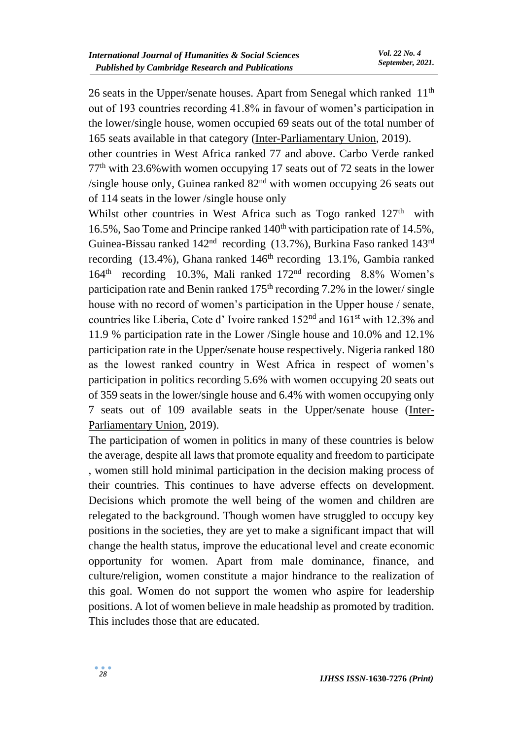26 seats in the Upper/senate houses. Apart from Senegal which ranked  $11<sup>th</sup>$ out of 193 countries recording 41.8% in favour of women's participation in the lower/single house, women occupied 69 seats out of the total number of 165 seats available in that category [\(Inter-Parliamentary Union,](http://archive.ipu.org/wmn-e/classif.htm) 2019).

other countries in West Africa ranked 77 and above. Carbo Verde ranked 77th with 23.6%with women occupying 17 seats out of 72 seats in the lower /single house only, Guinea ranked  $82<sup>nd</sup>$  with women occupying 26 seats out of 114 seats in the lower /single house only

Whilst other countries in West Africa such as Togo ranked  $127<sup>th</sup>$  with 16.5%, Sao Tome and Principe ranked 140<sup>th</sup> with participation rate of 14.5%, Guinea-Bissau ranked 142<sup>nd</sup> recording (13.7%), Burkina Faso ranked 143<sup>rd</sup> recording  $(13.4\%)$ , Ghana ranked  $146<sup>th</sup>$  recording 13.1%, Gambia ranked 164th recording 10.3%, Mali ranked 172nd recording 8.8% Women's participation rate and Benin ranked  $175<sup>th</sup>$  recording 7.2% in the lower/ single house with no record of women's participation in the Upper house / senate, countries like Liberia, Cote d' Ivoire ranked 152nd and 161st with 12.3% and 11.9 % participation rate in the Lower /Single house and 10.0% and 12.1% participation rate in the Upper/senate house respectively. Nigeria ranked 180 as the lowest ranked country in West Africa in respect of women's participation in politics recording 5.6% with women occupying 20 seats out of 359 seats in the lower/single house and 6.4% with women occupying only 7 seats out of 109 available seats in the Upper/senate house [\(Inter-](http://archive.ipu.org/wmn-e/classif.htm)[Parliamentary Union,](http://archive.ipu.org/wmn-e/classif.htm) 2019).

The participation of women in politics in many of these countries is below the average, despite all laws that promote equality and freedom to participate , women still hold minimal participation in the decision making process of their countries. This continues to have adverse effects on development. Decisions which promote the well being of the women and children are relegated to the background. Though women have struggled to occupy key positions in the societies, they are yet to make a significant impact that will change the health status, improve the educational level and create economic opportunity for women. Apart from male dominance, finance, and culture/religion, women constitute a major hindrance to the realization of this goal. Women do not support the women who aspire for leadership positions. A lot of women believe in male headship as promoted by tradition. This includes those that are educated.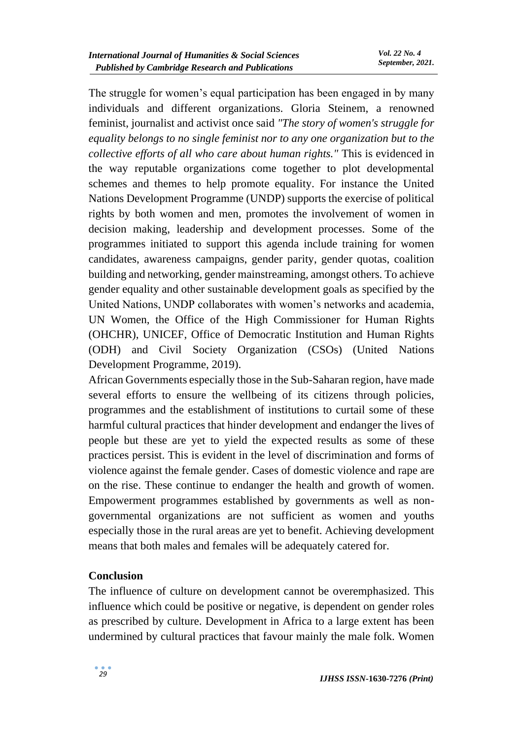The struggle for women's equal participation has been engaged in by many individuals and different organizations. Gloria Steinem, a renowned feminist, journalist and activist once said *"The story of women's struggle for equality belongs to no single feminist nor to any one organization but to the collective efforts of all who care about human rights."* This is evidenced in the way reputable organizations come together to plot developmental schemes and themes to help promote equality. For instance the United Nations Development Programme (UNDP) supports the exercise of political rights by both women and men, promotes the involvement of women in decision making, leadership and development processes. Some of the programmes initiated to support this agenda include training for women candidates, awareness campaigns, gender parity, gender quotas, coalition building and networking, gender mainstreaming, amongst others. To achieve gender equality and other sustainable development goals as specified by the United Nations, UNDP collaborates with women's networks and academia, UN Women, the Office of the High Commissioner for Human Rights (OHCHR), UNICEF, Office of Democratic Institution and Human Rights (ODH) and Civil Society Organization (CSOs) (United Nations Development Programme, 2019).

African Governments especially those in the Sub-Saharan region, have made several efforts to ensure the wellbeing of its citizens through policies, programmes and the establishment of institutions to curtail some of these harmful cultural practices that hinder development and endanger the lives of people but these are yet to yield the expected results as some of these practices persist. This is evident in the level of discrimination and forms of violence against the female gender. Cases of domestic violence and rape are on the rise. These continue to endanger the health and growth of women. Empowerment programmes established by governments as well as nongovernmental organizations are not sufficient as women and youths especially those in the rural areas are yet to benefit. Achieving development means that both males and females will be adequately catered for.

#### **Conclusion**

The influence of culture on development cannot be overemphasized. This influence which could be positive or negative, is dependent on gender roles as prescribed by culture. Development in Africa to a large extent has been undermined by cultural practices that favour mainly the male folk. Women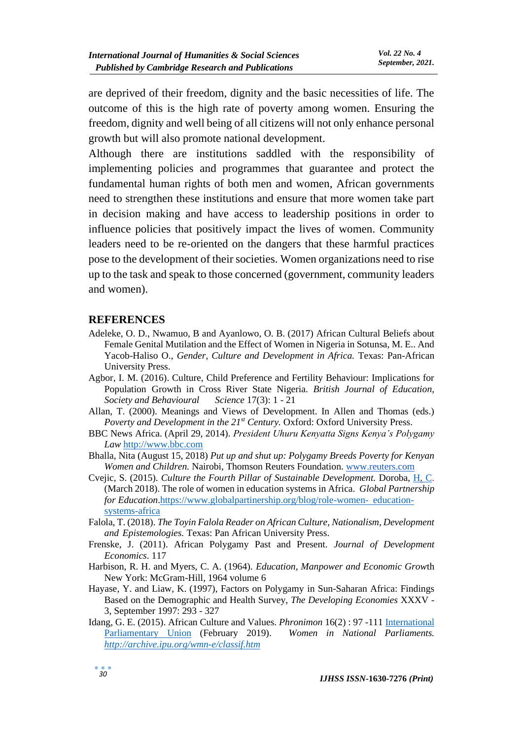are deprived of their freedom, dignity and the basic necessities of life. The outcome of this is the high rate of poverty among women. Ensuring the freedom, dignity and well being of all citizens will not only enhance personal growth but will also promote national development.

Although there are institutions saddled with the responsibility of implementing policies and programmes that guarantee and protect the fundamental human rights of both men and women, African governments need to strengthen these institutions and ensure that more women take part in decision making and have access to leadership positions in order to influence policies that positively impact the lives of women. Community leaders need to be re-oriented on the dangers that these harmful practices pose to the development of their societies. Women organizations need to rise up to the task and speak to those concerned (government, community leaders and women).

#### **REFERENCES**

- Adeleke, O. D., Nwamuo, B and Ayanlowo, O. B. (2017) African Cultural Beliefs about Female Genital Mutilation and the Effect of Women in Nigeria in Sotunsa, M. E.. And Yacob-Haliso O., *Gender, Culture and Development in Africa.* Texas: Pan-African University Press.
- Agbor, I. M. (2016). Culture, Child Preference and Fertility Behaviour: Implications for Population Growth in Cross River State Nigeria. *British Journal of Education, Society and Behavioural Science* 17(3): 1 - 21
- Allan, T. (2000). Meanings and Views of Development. In Allen and Thomas (eds.) *Poverty and Development in the 21st Century.* Oxford: Oxford University Press.
- BBC News Africa. (April 29, 2014). *President Uhuru Kenyatta Signs Kenya's Polygamy Law* [http://www.bbc.com](http://www.bbc.com/)
- Bhalla, Nita (August 15, 2018) *Put up and shut up: Polygamy Breeds Poverty for Kenyan Women and Children.* Nairobi, Thomson Reuters Foundation. [www.reuters.com](http://www.reuters.com/)
- Cvejic, S. (2015). *Culture the Fourth Pillar of Sustainable Development.* Doroba, [H.](https://www.globalpartnership.org/users/hchalwe) [C.](https://www.globalpartnership.org/users/hchalwe) (March 2018). The role of women in education systems in Africa. *Global Partnership for Education*[.https://www.globalpartinership.org/blog/role-women-](https://www.globalpartinership.org/blog/role-women-education-systems-africa) education[systems-africa](https://www.globalpartinership.org/blog/role-women-education-systems-africa)
- Falola, T. (2018). *The Toyin Falola Reader on African Culture, Nationalism, Development and Epistemologies.* Texas: Pan African University Press.
- Frenske, J. (2011). African Polygamy Past and Present. *Journal of Development Economics*. 117
- Harbison, R. H. and Myers, C. A. (1964). *Education, Manpower and Economic Grow*th New York: McGram-Hill, 1964 volume 6
- Hayase, Y. and Liaw, K. (1997), Factors on Polygamy in Sun-Saharan Africa: Findings Based on the Demographic and Health Survey, *The Developing Economies* XXXV - 3, September 1997: 293 - 327
- Idang, G. E. (2015). African Culture and Values. *Phronimon* 16(2) : 97 -111 [International](http://archive.ipu.org/wmn-e/classif.htm)  [Parliamentary Union](http://archive.ipu.org/wmn-e/classif.htm) (February 2019). *Women in National Parliaments. <http://archive.ipu.org/wmn-e/classif.htm>*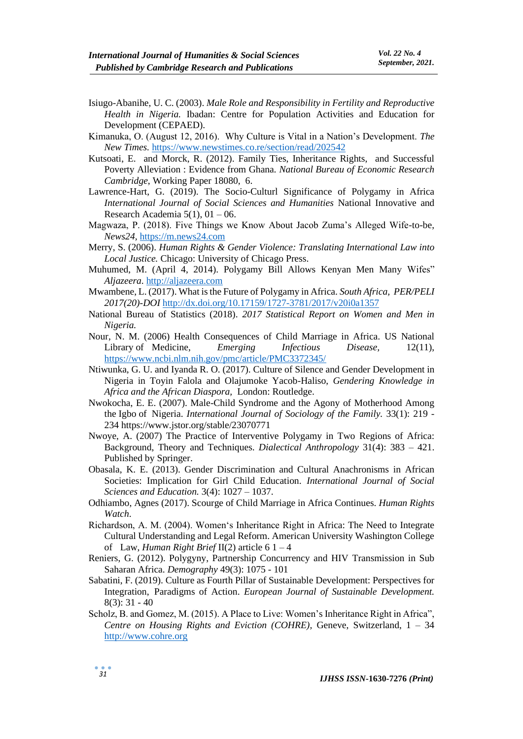- Isiugo-Abanihe, U. C. (2003). *Male Role and Responsibility in Fertility and Reproductive Health in Nigeria.* Ibadan: Centre for Population Activities and Education for Development (CEPAED).
- Kimanuka, O. (August 12, 2016). Why Culture is Vital in a Nation's Development. *The New Times.* <https://www.newstimes.co.re/section/read/202542>
- Kutsoati, E. and Morck, R. (2012). Family Ties, Inheritance Rights, and Successful Poverty Alleviation : Evidence from Ghana*. National Bureau of Economic Research Cambridge*, Working Paper 18080, 6.
- Lawrence-Hart, G. (2019). The Socio-Culturl Significance of Polygamy in Africa *International Journal of Social Sciences and Humanities* National Innovative and Research Academia  $5(1)$ ,  $01 - 06$ .
- Magwaza, P. (2018). Five Things we Know About Jacob Zuma's Alleged Wife-to-be, *News24,* [https://m.news24.com](https://m.news24.com/)
- Merry, S. (2006). *Human Rights & Gender Violence: Translating International Law into Local Justice.* Chicago: University of Chicago Press.
- Muhumed, M. (April 4, 2014). Polygamy Bill Allows Kenyan Men Many Wifes" *Aljazeera*. [http://aljazeera.com](http://aljazeera.com/)
- Mwambene, L. (2017). What is the Future of Polygamy in Africa. *South Africa, PER/PELI 2017(20)-DOI* <http://dx.doi.org/10.17159/1727-3781/2017/v20i0a1357>
- National Bureau of Statistics (2018). *2017 Statistical Report on Women and Men in Nigeria.*
- Nour, N. M. (2006) Health Consequences of Child Marriage in Africa. US National Library of Medicine, *Emerging Infectious Disease,* 12(11), <https://www.ncbi.nlm.nih.gov/pmc/article/PMC3372345/>
- Ntiwunka, G. U. and Iyanda R. O. (2017). Culture of Silence and Gender Development in Nigeria in Toyin Falola and Olajumoke Yacob-Haliso, *Gendering Knowledge in Africa and the African Diaspora,* London: Routledge.
- Nwokocha, E. E. (2007). Male-Child Syndrome and the Agony of Motherhood Among the Igbo of Nigeria. *International Journal of Sociology of the Family.* 33(1): 219 - 234 https://www.jstor.org/stable/23070771
- Nwoye, A. (2007) The Practice of Interventive Polygamy in Two Regions of Africa: Background, Theory and Techniques. *Dialectical Anthropology* 31(4): 383 – 421. Published by Springer.
- Obasala, K. E. (2013). Gender Discrimination and Cultural Anachronisms in African Societies: Implication for Girl Child Education. *International Journal of Social Sciences and Education.* 3(4): 1027 – 1037.
- Odhiambo, Agnes (2017). Scourge of Child Marriage in Africa Continues. *Human Rights Watch*.
- Richardson, A. M. (2004). Women's Inheritance Right in Africa: The Need to Integrate Cultural Understanding and Legal Reform. American University Washington College of Law, *Human Right Brief* II(2) article 6 1 – 4
- Reniers, G. (2012). Polygyny, Partnership Concurrency and HIV Transmission in Sub Saharan Africa. *Demography* 49(3): 1075 - 101
- Sabatini, F. (2019). Culture as Fourth Pillar of Sustainable Development: Perspectives for Integration, Paradigms of Action. *European Journal of Sustainable Development.*  $8(3): 31 - 40$
- Scholz, B. and Gomez, M. (2015). A Place to Live: Women's Inheritance Right in Africa", *Centre on Housing Rights and Eviction (COHRE),* Geneve, Switzerland, 1 – 34 [http://www.cohre.org](http://www.cohre.org/)